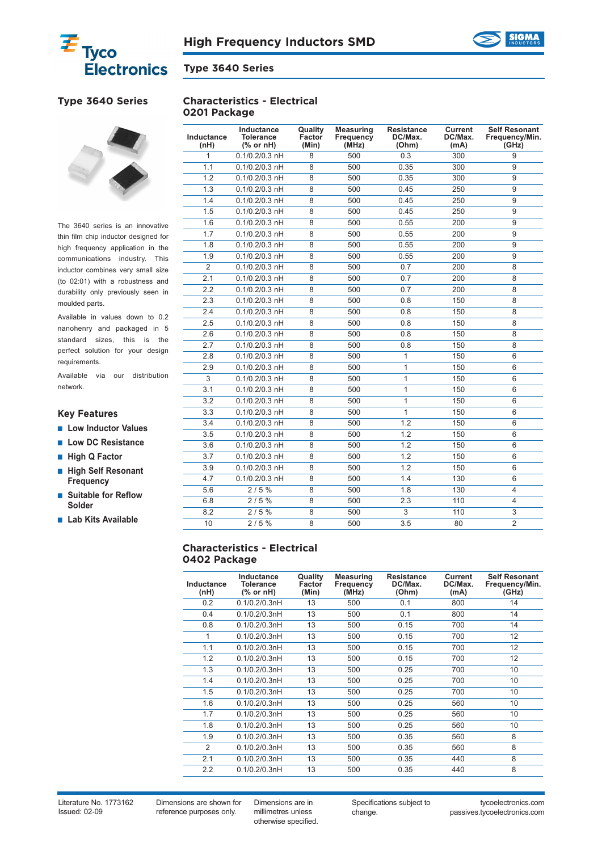



**0201 Package**

**Characteristics - Electrical**

# **Type 3640 Series**



The 3640 series is an innovative thin film chip inductor designed for high frequency application in the communications industry. This inductor combines very small size (to 02:01) with a robustness and durability only previously seen in moulded parts.

Available in values down to 0.2 nanohenry and packaged in 5 standard sizes, this is the perfect solution for your design requirements.

Available via our distribution network.

## **Key Features**

- **Low Inductor Values**
- **Low DC Resistance**
- **High Q Factor**
- **High Self Resonant Frequency**
- **Suitable for Reflow Solder**
- **Lab Kits Available**

| Inductance<br>(nH) | Inductance<br><b>Tolerance</b><br>$%$ or nH) | Quality<br>Factor<br>(Min) | <b>Measuring</b><br>Frequency<br>(MHz) | <b>Resistance</b><br>DC/Max.<br>(Ohm) | Current<br>DC/Max.<br>(mA) | <b>Self Resonant</b><br>Frequency/Min.<br>(GHz) |
|--------------------|----------------------------------------------|----------------------------|----------------------------------------|---------------------------------------|----------------------------|-------------------------------------------------|
| 1                  | $0.1/0.2/0.3$ nH                             | 8                          | 500                                    | 0.3                                   | 300                        | 9                                               |
| 1.1                | $0.1/0.2/0.3$ nH                             | 8                          | 500                                    | 0.35                                  | 300                        | 9                                               |
| 1.2                | $0.1/0.2/0.3$ nH                             | 8                          | 500                                    | 0.35                                  | 300                        | 9                                               |
| 1.3                | $0.1/0.2/0.3$ nH                             | 8                          | 500                                    | 0.45                                  | 250                        | 9                                               |
| 1.4                | $0.1/0.2/0.3$ nH                             | 8                          | 500                                    | 0.45                                  | 250                        | 9                                               |
| 1.5                | $0.1/0.2/0.3$ nH                             | 8                          | 500                                    | 0.45                                  | 250                        | 9                                               |
| 1.6                | $0.1/0.2/0.3$ nH                             | 8                          | 500                                    | 0.55                                  | 200                        | 9                                               |
| 1.7                | $0.1/0.2/0.3$ nH                             | 8                          | 500                                    | 0.55                                  | 200                        | 9                                               |
| 1.8                | $0.1/0.2/0.3$ nH                             | 8                          | 500                                    | 0.55                                  | 200                        | 9                                               |
| 1.9                | $0.1/0.2/0.3$ nH                             | 8                          | 500                                    | 0.55                                  | 200                        | 9                                               |
| $\overline{2}$     | $0.1/0.2/0.3$ nH                             | 8                          | 500                                    | 0.7                                   | 200                        | 8                                               |
| 2.1                | $0.1/0.2/0.3$ nH                             | 8                          | 500                                    | 0.7                                   | 200                        | 8                                               |
| 2.2                | $0.1/0.2/0.3$ nH                             | 8                          | 500                                    | 0.7                                   | 200                        | 8                                               |
| 2.3                | $0.1/0.2/0.3$ nH                             | 8                          | 500                                    | 0.8                                   | 150                        | 8                                               |
| 2.4                | $0.1/0.2/0.3$ nH                             | 8                          | 500                                    | 0.8                                   | 150                        | 8                                               |
| 2.5                | $0.1/0.2/0.3$ nH                             | 8                          | 500                                    | 0.8                                   | 150                        | 8                                               |
| 2.6                | $0.1/0.2/0.3$ nH                             | 8                          | 500                                    | 0.8                                   | 150                        | 8                                               |
| 2.7                | $0.1/0.2/0.3$ nH                             | 8                          | 500                                    | 0.8                                   | 150                        | 8                                               |
| 2.8                | $0.1/0.2/0.3$ nH                             | 8                          | 500                                    | 1                                     | 150                        | 6                                               |
| 2.9                | $0.1/0.2/0.3$ nH                             | 8                          | 500                                    | 1                                     | 150                        | 6                                               |
| $\overline{3}$     | $0.1/0.2/0.3$ nH                             | 8                          | 500                                    | 1                                     | 150                        | 6                                               |
| 3.1                | $0.1/0.2/0.3$ nH                             | 8                          | 500                                    | 1                                     | 150                        | 6                                               |
| 3.2                | $0.1/0.2/0.3$ nH                             | 8                          | 500                                    | 1                                     | 150                        | 6                                               |
| 3.3                | $0.1/0.2/0.3$ nH                             | 8                          | 500                                    | $\mathbf{1}$                          | 150                        | 6                                               |
| 3.4                | $0.1/0.2/0.3$ nH                             | 8                          | 500                                    | 1.2                                   | 150                        | 6                                               |
| 3.5                | $0.1/0.2/0.3$ nH                             | 8                          | 500                                    | 1.2                                   | 150                        | 6                                               |
| 3.6                | $0.1/0.2/0.3$ nH                             | 8                          | 500                                    | 1.2                                   | 150                        | 6                                               |
| 3.7                | $0.1/0.2/0.3$ nH                             | 8                          | 500                                    | 1.2                                   | 150                        | 6                                               |
| 3.9                | $0.1/0.2/0.3$ nH                             | 8                          | 500                                    | 1.2                                   | 150                        | 6                                               |
| 4.7                | $0.1/0.2/0.3$ nH                             | 8                          | 500                                    | 1.4                                   | 130                        | 6                                               |
| 5.6                | 2/5%                                         | 8                          | 500                                    | 1.8                                   | 130                        | 4                                               |
| 6.8                | 2/5%                                         | 8                          | 500                                    | 2.3                                   | 110                        | $\overline{4}$                                  |
| 8.2                | 2/5%                                         | 8                          | 500                                    | 3                                     | 110                        | 3                                               |
| 10                 | 2/5%                                         | $\overline{8}$             | 500                                    | 3.5                                   | 80                         | $\overline{2}$                                  |

### **Characteristics - Electrical 0402 Package**

| Inductance<br>(nH) | Inductance<br><b>Tolerance</b><br>(% or nH) | Quality<br>Factor<br>(Min) | <b>Measuring</b><br>Frequency<br>(MHz) | <b>Resistance</b><br>DC/Max.<br>(Ohm) | Current<br>DC/Max.<br>(mA) | <b>Self Resonant</b><br>Frequency/Min.<br>(GHz) |
|--------------------|---------------------------------------------|----------------------------|----------------------------------------|---------------------------------------|----------------------------|-------------------------------------------------|
| 0.2                | 0.1/0.2/0.3nH                               | 13                         | 500                                    | 0.1                                   | 800                        | 14                                              |
| 0.4                | 0.1/0.2/0.3nH                               | 13                         | 500                                    | 0.1                                   | 800                        | 14                                              |
| 0.8                | 0.1/0.2/0.3nH                               | 13                         | 500                                    | 0.15                                  | 700                        | 14                                              |
| 1                  | 0.1/0.2/0.3nH                               | 13                         | 500                                    | 0.15                                  | 700                        | 12                                              |
| 1.1                | 0.1/0.2/0.3nH                               | 13                         | 500                                    | 0.15                                  | 700                        | 12                                              |
| 1.2                | 0.1/0.2/0.3nH                               | 13                         | 500                                    | 0.15                                  | 700                        | 12                                              |
| 1.3                | 0.1/0.2/0.3nH                               | 13                         | 500                                    | 0.25                                  | 700                        | 10                                              |
| 1.4                | 0.1/0.2/0.3nH                               | 13                         | 500                                    | 0.25                                  | 700                        | 10                                              |
| 1.5                | 0.1/0.2/0.3nH                               | 13                         | 500                                    | 0.25                                  | 700                        | 10                                              |
| 1.6                | 0.1/0.2/0.3nH                               | 13                         | 500                                    | 0.25                                  | 560                        | 10                                              |
| 1.7                | 0.1/0.2/0.3nH                               | 13                         | 500                                    | 0.25                                  | 560                        | 10                                              |
| 1.8                | 0.1/0.2/0.3nH                               | 13                         | 500                                    | 0.25                                  | 560                        | 10                                              |
| 1.9                | 0.1/0.2/0.3nH                               | 13                         | 500                                    | 0.35                                  | 560                        | 8                                               |
| $\mathfrak{p}$     | 0.1/0.2/0.3nH                               | 13                         | 500                                    | 0.35                                  | 560                        | 8                                               |
| 2.1                | 0.1/0.2/0.3nH                               | 13                         | 500                                    | 0.35                                  | 440                        | 8                                               |
| 2.2                | 0.1/0.2/0.3nH                               | 13                         | 500                                    | 0.35                                  | 440                        | 8                                               |

Literature No. 1773162 Issued: 02-09

Dimensions are shown for reference purposes only.

Dimensions are in millimetres unless otherwise specified. Specifications subject to change.

tycoelectronics.com passives.tycoelectronics.com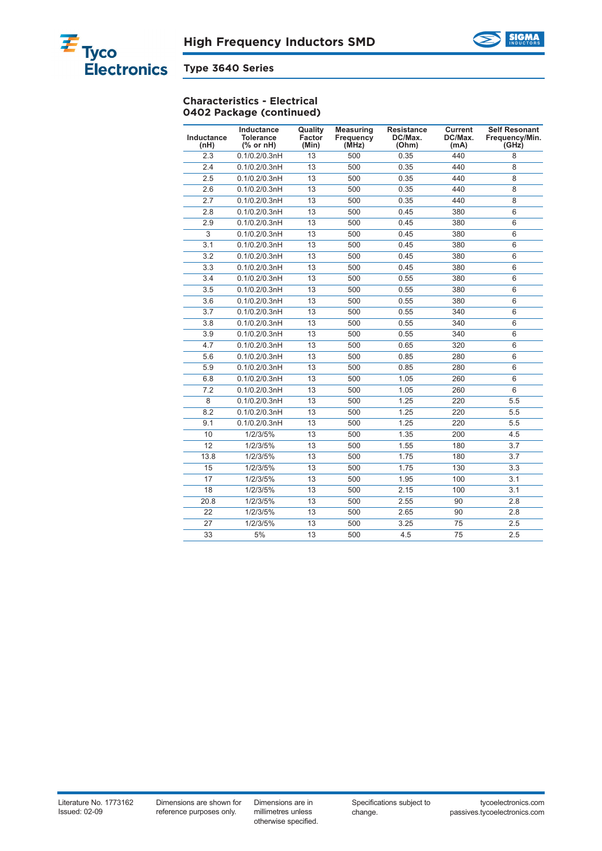



## **Characteristics - Electrical 0402 Package (continued)**

| Inductance<br>(nH) | Inductance<br><b>Tolerance</b><br>$%$ or nH) | Quality<br>Factor<br>(Min) | <b>Measuring</b><br><b>Frequency</b><br>(MHz) | <b>Resistance</b><br>DC/Max.<br>(Ohm) | <b>Current</b><br>DC/Max.<br>(mA) | <b>Self Resonant</b><br>Frequency/Min.<br>(GHz) |
|--------------------|----------------------------------------------|----------------------------|-----------------------------------------------|---------------------------------------|-----------------------------------|-------------------------------------------------|
| 2.3                | 0.1/0.2/0.3nH                                | 13                         | 500                                           | 0.35                                  | 440                               | $\overline{8}$                                  |
| 2.4                | 0.1/0.2/0.3nH                                | 13                         | 500                                           | 0.35                                  | 440                               | 8                                               |
| 2.5                | 0.1/0.2/0.3nH                                | 13                         | 500                                           | 0.35                                  | 440                               | 8                                               |
| 2.6                | 0.1/0.2/0.3nH                                | 13                         | 500                                           | 0.35                                  | 440                               | 8                                               |
| 2.7                | 0.1/0.2/0.3nH                                | 13                         | 500                                           | 0.35                                  | 440                               | 8                                               |
| 2.8                | 0.1/0.2/0.3nH                                | 13                         | 500                                           | 0.45                                  | 380                               | 6                                               |
| 2.9                | 0.1/0.2/0.3nH                                | 13                         | 500                                           | 0.45                                  | 380                               | 6                                               |
| 3                  | 0.1/0.2/0.3nH                                | 13                         | 500                                           | 0.45                                  | 380                               | 6                                               |
| 3.1                | 0.1/0.2/0.3nH                                | 13                         | 500                                           | 0.45                                  | 380                               | 6                                               |
| 3.2                | 0.1/0.2/0.3nH                                | 13                         | 500                                           | 0.45                                  | 380                               | 6                                               |
| 3.3                | 0.1/0.2/0.3nH                                | 13                         | 500                                           | 0.45                                  | 380                               | 6                                               |
| 3.4                | 0.1/0.2/0.3nH                                | 13                         | 500                                           | 0.55                                  | 380                               | 6                                               |
| 3.5                | 0.1/0.2/0.3nH                                | 13                         | 500                                           | 0.55                                  | 380                               | 6                                               |
| 3.6                | 0.1/0.2/0.3nH                                | 13                         | 500                                           | 0.55                                  | 380                               | 6                                               |
| 3.7                | 0.1/0.2/0.3nH                                | 13                         | 500                                           | 0.55                                  | 340                               | 6                                               |
| 3.8                | 0.1/0.2/0.3nH                                | 13                         | 500                                           | 0.55                                  | 340                               | 6                                               |
| 3.9                | 0.1/0.2/0.3nH                                | 13                         | 500                                           | 0.55                                  | 340                               | 6                                               |
| 4.7                | 0.1/0.2/0.3nH                                | 13                         | 500                                           | 0.65                                  | 320                               | 6                                               |
| 5.6                | 0.1/0.2/0.3nH                                | 13                         | 500                                           | 0.85                                  | 280                               | 6                                               |
| 5.9                | 0.1/0.2/0.3nH                                | 13                         | 500                                           | 0.85                                  | 280                               | 6                                               |
| 6.8                | 0.1/0.2/0.3nH                                | 13                         | 500                                           | 1.05                                  | 260                               | 6                                               |
| 7.2                | 0.1/0.2/0.3nH                                | 13                         | 500                                           | 1.05                                  | 260                               | 6                                               |
| 8                  | 0.1/0.2/0.3nH                                | 13                         | 500                                           | 1.25                                  | 220                               | 5.5                                             |
| 8.2                | 0.1/0.2/0.3nH                                | 13                         | 500                                           | 1.25                                  | 220                               | 5.5                                             |
| 9.1                | 0.1/0.2/0.3nH                                | 13                         | 500                                           | 1.25                                  | 220                               | 5.5                                             |
| 10                 | 1/2/3/5%                                     | 13                         | 500                                           | 1.35                                  | 200                               | 4.5                                             |
| 12                 | 1/2/3/5%                                     | 13                         | 500                                           | 1.55                                  | 180                               | 3.7                                             |
| 13.8               | 1/2/3/5%                                     | 13                         | 500                                           | 1.75                                  | 180                               | 3.7                                             |
| 15                 | 1/2/3/5%                                     | 13                         | 500                                           | 1.75                                  | 130                               | 3.3                                             |
| 17                 | 1/2/3/5%                                     | 13                         | 500                                           | 1.95                                  | 100                               | 3.1                                             |
| 18                 | 1/2/3/5%                                     | 13                         | 500                                           | 2.15                                  | 100                               | 3.1                                             |
| 20.8               | 1/2/3/5%                                     | 13                         | 500                                           | 2.55                                  | 90                                | 2.8                                             |
| $\overline{22}$    | 1/2/3/5%                                     | 13                         | 500                                           | 2.65                                  | 90                                | 2.8                                             |
| 27                 | 1/2/3/5%                                     | 13                         | 500                                           | 3.25                                  | 75                                | 2.5                                             |
| 33                 | 5%                                           | 13                         | 500                                           | 4.5                                   | 75                                | 2.5                                             |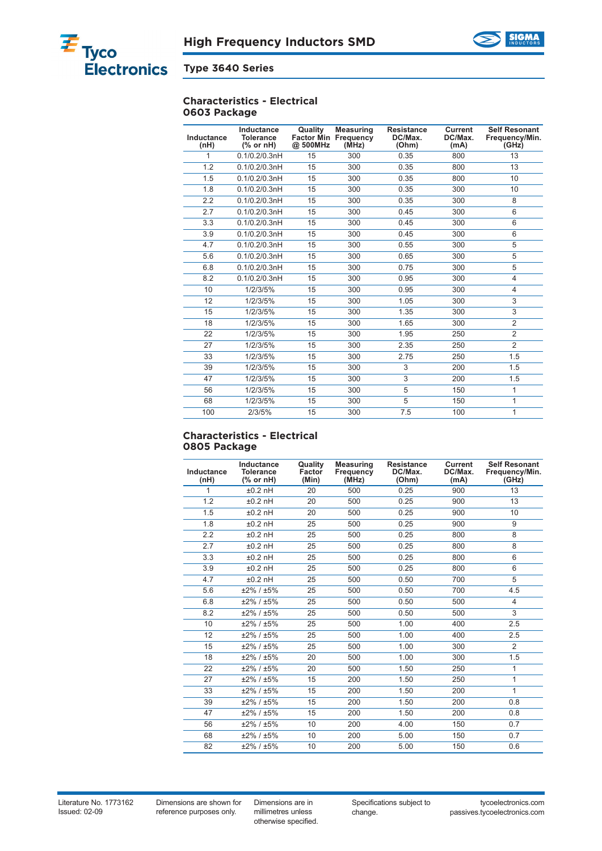



#### **Characteristics - Electrical 0603 Package**

| Inductance<br>(nH) | Inductance<br><b>Tolerance</b><br>$%$ or nH) | Quality<br>@ 500MHz | <b>Measuring</b><br><b>Factor Min Frequency</b><br>(MHz) | <b>Resistance</b><br>DC/Max.<br>(Ohm) | <b>Current</b><br>DC/Max.<br>(mA) | <b>Self Resonant</b><br>Frequency/Min.<br>(GHz) |
|--------------------|----------------------------------------------|---------------------|----------------------------------------------------------|---------------------------------------|-----------------------------------|-------------------------------------------------|
| 1                  | 0.1/0.2/0.3nH                                | 15                  | 300                                                      | 0.35                                  | 800                               | 13                                              |
| 1.2                | 0.1/0.2/0.3nH                                | 15                  | 300                                                      | 0.35                                  | 800                               | 13                                              |
| 1.5                | 0.1/0.2/0.3nH                                | 15                  | 300                                                      | 0.35                                  | 800                               | 10                                              |
| 1.8                | 0.1/0.2/0.3nH                                | 15                  | 300                                                      | 0.35                                  | 300                               | 10                                              |
| 2.2                | 0.1/0.2/0.3nH                                | 15                  | 300                                                      | 0.35                                  | 300                               | 8                                               |
| 2.7                | 0.1/0.2/0.3nH                                | 15                  | 300                                                      | 0.45                                  | 300                               | 6                                               |
| 3.3                | 0.1/0.2/0.3nH                                | 15                  | 300                                                      | 0.45                                  | 300                               | 6                                               |
| 3.9                | 0.1/0.2/0.3nH                                | 15                  | 300                                                      | 0.45                                  | 300                               | 6                                               |
| 4.7                | 0.1/0.2/0.3nH                                | 15                  | 300                                                      | 0.55                                  | 300                               | 5                                               |
| 5.6                | 0.1/0.2/0.3nH                                | 15                  | 300                                                      | 0.65                                  | 300                               | 5                                               |
| 6.8                | 0.1/0.2/0.3nH                                | 15                  | 300                                                      | 0.75                                  | 300                               | 5                                               |
| 8.2                | 0.1/0.2/0.3nH                                | 15                  | 300                                                      | 0.95                                  | 300                               | $\overline{4}$                                  |
| 10                 | 1/2/3/5%                                     | 15                  | 300                                                      | 0.95                                  | 300                               | $\overline{4}$                                  |
| 12                 | 1/2/3/5%                                     | 15                  | 300                                                      | 1.05                                  | 300                               | 3                                               |
| 15                 | 1/2/3/5%                                     | 15                  | 300                                                      | 1.35                                  | 300                               | 3                                               |
| 18                 | 1/2/3/5%                                     | 15                  | 300                                                      | 1.65                                  | 300                               | $\overline{2}$                                  |
| 22                 | 1/2/3/5%                                     | 15                  | 300                                                      | 1.95                                  | 250                               | $\overline{2}$                                  |
| 27                 | 1/2/3/5%                                     | 15                  | 300                                                      | 2.35                                  | 250                               | $\overline{2}$                                  |
| 33                 | 1/2/3/5%                                     | 15                  | 300                                                      | 2.75                                  | 250                               | 1.5                                             |
| 39                 | 1/2/3/5%                                     | 15                  | 300                                                      | 3                                     | 200                               | 1.5                                             |
| 47                 | 1/2/3/5%                                     | 15                  | 300                                                      | 3                                     | 200                               | 1.5                                             |
| 56                 | 1/2/3/5%                                     | 15                  | 300                                                      | 5                                     | 150                               | 1                                               |
| 68                 | 1/2/3/5%                                     | 15                  | 300                                                      | 5                                     | 150                               | 1                                               |
| 100                | 2/3/5%                                       | 15                  | 300                                                      | 7.5                                   | 100                               | 1                                               |

#### **Characteristics - Electrical 0805 Package**

| Inductance<br>(nH) | Inductance<br><b>Tolerance</b><br>$%$ or nH) | Quality<br>Factor<br>(Min) | <b>Measuring</b><br>Frequency<br>(MHz) | <b>Resistance</b><br>DC/Max.<br>(Ohm) | <b>Current</b><br>DC/Max.<br>(mA) | <b>Self Resonant</b><br>Frequency/Min.<br>(GHz) |
|--------------------|----------------------------------------------|----------------------------|----------------------------------------|---------------------------------------|-----------------------------------|-------------------------------------------------|
| 1                  | $±0.2$ nH                                    | 20                         | 500                                    | 0.25                                  | 900                               | 13                                              |
| 1.2                | $±0.2$ nH                                    | 20                         | 500                                    | 0.25                                  | 900                               | 13                                              |
| 1.5                | $±0.2$ nH                                    | 20                         | 500                                    | 0.25                                  | 900                               | 10                                              |
| 1.8                | $±0.2$ nH                                    | 25                         | 500                                    | 0.25                                  | 900                               | 9                                               |
| 2.2                | $±0.2$ nH                                    | 25                         | 500                                    | 0.25                                  | 800                               | 8                                               |
| 2.7                | $±0.2$ nH                                    | 25                         | 500                                    | 0.25                                  | 800                               | 8                                               |
| 3.3                | $±0.2$ nH                                    | 25                         | 500                                    | 0.25                                  | 800                               | 6                                               |
| 3.9                | $±0.2$ nH                                    | 25                         | 500                                    | 0.25                                  | 800                               | 6                                               |
| 4.7                | $±0.2$ nH                                    | 25                         | 500                                    | 0.50                                  | 700                               | 5                                               |
| 5.6                | $±2\% / ±5\%$                                | 25                         | 500                                    | 0.50                                  | 700                               | 4.5                                             |
| 6.8                | ±2% / ±5%                                    | 25                         | 500                                    | 0.50                                  | 500                               | $\overline{4}$                                  |
| 8.2                | ±2% / ±5%                                    | 25                         | 500                                    | 0.50                                  | 500                               | 3                                               |
| 10                 | ±2% / ±5%                                    | 25                         | 500                                    | 1.00                                  | 400                               | 2.5                                             |
| 12                 | ±2% / ±5%                                    | 25                         | 500                                    | 1.00                                  | 400                               | 2.5                                             |
| 15                 | ±2% / ±5%                                    | 25                         | 500                                    | 1.00                                  | 300                               | $\overline{2}$                                  |
| 18                 | ±2% / ±5%                                    | 20                         | 500                                    | 1.00                                  | 300                               | 1.5                                             |
| 22                 | ±2% / ±5%                                    | 20                         | 500                                    | 1.50                                  | 250                               | 1                                               |
| 27                 | ±2% / ±5%                                    | 15                         | 200                                    | 1.50                                  | 250                               | $\mathbf{1}$                                    |
| 33                 | ±2% / ±5%                                    | 15                         | 200                                    | 1.50                                  | 200                               | 1                                               |
| 39                 | ±2% / ±5%                                    | 15                         | 200                                    | 1.50                                  | 200                               | 0.8                                             |
| 47                 | ±2% / ±5%                                    | 15                         | 200                                    | 1.50                                  | 200                               | 0.8                                             |
| 56                 | ±2% / ±5%                                    | 10                         | 200                                    | 4.00                                  | 150                               | 0.7                                             |
| 68                 | ±2% / ±5%                                    | 10                         | 200                                    | 5.00                                  | 150                               | 0.7                                             |
| 82                 | ±2% / ±5%                                    | 10                         | 200                                    | 5.00                                  | 150                               | 0.6                                             |

Dimensions are shown for reference purposes only.

Dimensions are in millimetres unless otherwise specified. Specifications subject to change.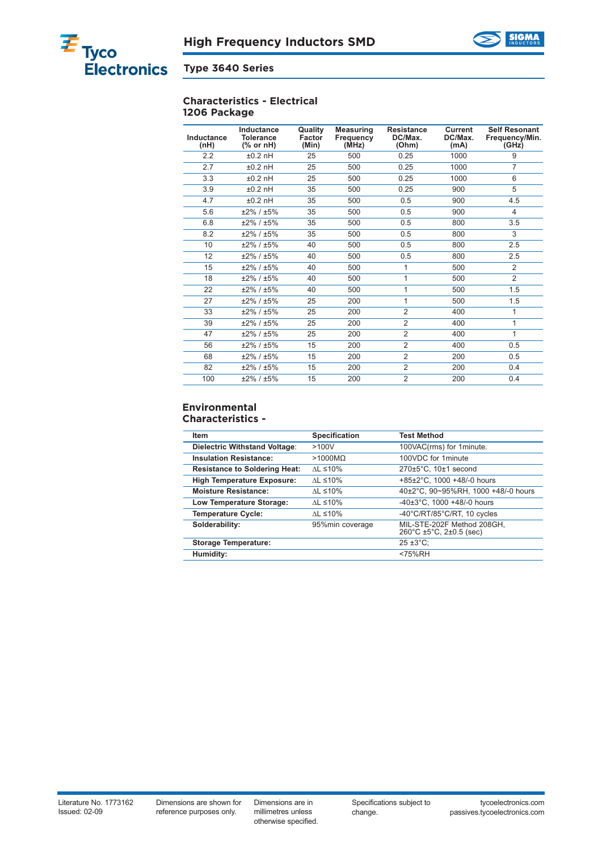



#### **Characteristics - Electrical 1206 Package**

| Inductance<br>(nH) | Inductance<br><b>Tolerance</b><br>(% or nH) | Quality<br>Factor<br>(Min) | <b>Measuring</b><br>Frequency<br>(MHz) | <b>Resistance</b><br>DC/Max.<br>(Ohm) | <b>Current</b><br>DC/Max.<br>(mA) | <b>Self Resonant</b><br>Frequency/Min.<br>(GHz) |
|--------------------|---------------------------------------------|----------------------------|----------------------------------------|---------------------------------------|-----------------------------------|-------------------------------------------------|
| 2.2                | $±0.2$ nH                                   | 25                         | 500                                    | 0.25                                  | 1000                              | 9                                               |
| 2.7                | $±0.2$ nH                                   | 25                         | 500                                    | 0.25                                  | 1000                              | 7                                               |
| 3.3                | $±0.2$ nH                                   | 25                         | 500                                    | 0.25                                  | 1000                              | 6                                               |
| 3.9                | $±0.2$ nH                                   | 35                         | 500                                    | 0.25                                  | 900                               | 5                                               |
| 4.7                | $±0.2$ nH                                   | 35                         | 500                                    | 0.5                                   | 900                               | 4.5                                             |
| 5.6                | ±2% / ±5%                                   | 35                         | 500                                    | 0.5                                   | 900                               | 4                                               |
| 6.8                | $±2\% / ±5\%$                               | 35                         | 500                                    | 0.5                                   | 800                               | 3.5                                             |
| 8.2                | ±2% / ±5%                                   | 35                         | 500                                    | 0.5                                   | 800                               | 3                                               |
| 10                 | $±2\% / ±5\%$                               | 40                         | 500                                    | 0.5                                   | 800                               | 2.5                                             |
| 12                 | $±2\% / ±5\%$                               | 40                         | 500                                    | 0.5                                   | 800                               | 2.5                                             |
| 15                 | ±2% / ±5%                                   | 40                         | 500                                    | 1                                     | 500                               | 2                                               |
| 18                 | $±2\% / ±5\%$                               | 40                         | 500                                    | 1                                     | 500                               | $\overline{2}$                                  |
| 22                 | $±2\% / ±5\%$                               | 40                         | 500                                    | 1                                     | 500                               | 1.5                                             |
| 27                 | $±2\% / ±5\%$                               | 25                         | 200                                    | $\mathbf{1}$                          | 500                               | 1.5                                             |
| 33                 | $±2\% / ±5\%$                               | 25                         | 200                                    | $\overline{2}$                        | 400                               | 1                                               |
| 39                 | $±2\% / ±5\%$                               | 25                         | 200                                    | $\overline{2}$                        | 400                               | 1                                               |
| 47                 | $±2\% / ±5\%$                               | 25                         | 200                                    | $\overline{2}$                        | 400                               | 1                                               |
| 56                 | $±2\% / ±5\%$                               | 15                         | 200                                    | $\overline{2}$                        | 400                               | 0.5                                             |
| 68                 | $±2\% / ±5\%$                               | 15                         | 200                                    | $\overline{2}$                        | 200                               | 0.5                                             |
| 82                 | $±2\% / ±5\%$                               | 15                         | 200                                    | $\overline{2}$                        | 200                               | 0.4                                             |
| 100                | $±2\% / ±5\%$                               | 15                         | 200                                    | $\overline{2}$                        | 200                               | 0.4                                             |

#### **Environmental Characteristics -**

| Item                                 | Specification         | <b>Test Method</b>                                                         |
|--------------------------------------|-----------------------|----------------------------------------------------------------------------|
| Dielectric Withstand Voltage:        | >100V                 | 100VAC(rms) for 1minute.                                                   |
| <b>Insulation Resistance:</b>        | $>1000M\Omega$        | 100VDC for 1minute                                                         |
| <b>Resistance to Soldering Heat:</b> | $AL \leq 10\%$        | $270\pm5^{\circ}$ C, 10 $\pm$ 1 second                                     |
| <b>High Temperature Exposure:</b>    | $AL \leq 10\%$        | $+85\pm2\degree$ C. 1000 $+48/-0$ hours                                    |
| <b>Moisture Resistance:</b>          | $AL \leq 10\%$        | 40±2°C, 90~95%RH, 1000 +48/-0 hours                                        |
| Low Temperature Storage:             | $AL \leq 10\%$        | $-40\pm3$ °C. 1000 +48/-0 hours                                            |
| <b>Temperature Cycle:</b>            | $\Lambda L \leq 10\%$ | $-40^{\circ}$ C/RT/85 $^{\circ}$ C/RT, 10 cycles                           |
| Solderability:                       | 95%min coverage       | MIL-STE-202F Method 208GH.<br>$260^{\circ}$ C ±5 $^{\circ}$ C, 2±0.5 (sec) |
| <b>Storage Temperature:</b>          |                       | $25 \pm 3^{\circ}$ C:                                                      |
| Humidity:                            |                       | <75%RH                                                                     |

Dimensions are in millimetres unless otherwise specified.